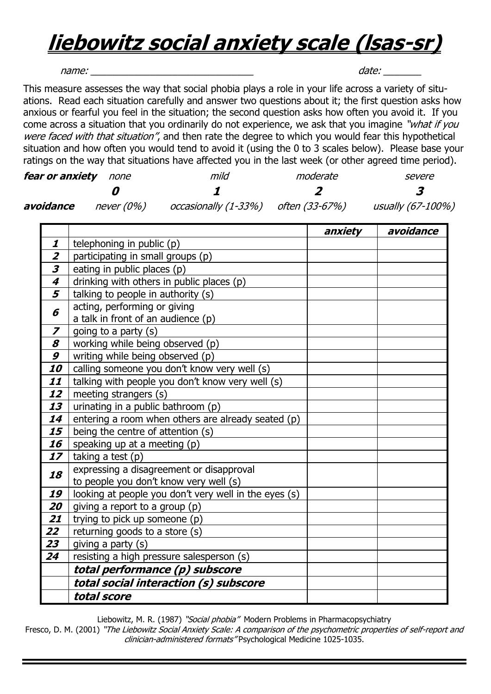## **liebowitz social anxiety scale (lsas-sr)**

name: \_\_\_\_\_\_\_\_\_\_\_\_\_\_\_\_\_\_\_\_\_\_\_\_\_\_\_\_\_\_ date: \_\_\_\_\_\_\_

This measure assesses the way that social phobia plays a role in your life across a variety of situations. Read each situation carefully and answer two questions about it; the first question asks how anxious or fearful you feel in the situation; the second question asks how often you avoid it. If you come across a situation that you ordinarily do not experience, we ask that you imagine "what if you were faced with that situation", and then rate the degree to which you would fear this hypothetical situation and how often you would tend to avoid it (using the 0 to 3 scales below). Please base your ratings on the way that situations have affected you in the last week (or other agreed time period).

| fear or anxiety | none       | mild                                    | moderate | severe            |
|-----------------|------------|-----------------------------------------|----------|-------------------|
|                 |            |                                         |          |                   |
| avoidance       | never (0%) | $occasionally (1-33%)$ often $(33-67%)$ |          | usually (67-100%) |

|                             |                                                       | anxiety | avoidance |
|-----------------------------|-------------------------------------------------------|---------|-----------|
| 1                           | telephoning in public (p)                             |         |           |
| $\overline{\mathbf{z}}$     | participating in small groups (p)                     |         |           |
| $\overline{\boldsymbol{3}}$ | eating in public places (p)                           |         |           |
| $\overline{\boldsymbol{4}}$ | drinking with others in public places (p)             |         |           |
| $\overline{\overline{5}}$   | talking to people in authority (s)                    |         |           |
| 6                           | acting, performing or giving                          |         |           |
|                             | a talk in front of an audience (p)                    |         |           |
| $\boldsymbol{z}$            | going to a party (s)                                  |         |           |
| 8                           | working while being observed (p)                      |         |           |
| 9                           | writing while being observed (p)                      |         |           |
| 10                          | calling someone you don't know very well (s)          |         |           |
| 11                          | talking with people you don't know very well (s)      |         |           |
| 12                          | meeting strangers (s)                                 |         |           |
| 13                          | urinating in a public bathroom (p)                    |         |           |
| 14                          | entering a room when others are already seated (p)    |         |           |
| 15                          | being the centre of attention (s)                     |         |           |
| 16                          | speaking up at a meeting (p)                          |         |           |
| 17                          | taking a test (p)                                     |         |           |
| 18                          | expressing a disagreement or disapproval              |         |           |
|                             | to people you don't know very well (s)                |         |           |
| 19                          | looking at people you don't very well in the eyes (s) |         |           |
| 20                          | giving a report to a group $(p)$                      |         |           |
| 21                          | trying to pick up someone (p)                         |         |           |
| 22                          | returning goods to a store (s)                        |         |           |
| 23                          | giving a party (s)                                    |         |           |
| 24                          | resisting a high pressure salesperson (s)             |         |           |
|                             | total performance (p) subscore                        |         |           |
|                             | total social interaction (s) subscore                 |         |           |
|                             | total score                                           |         |           |

Liebowitz, M. R. (1987) "Social phobia" Modern Problems in Pharmacopsychiatry

Fresco, D. M. (2001) "The Liebowitz Social Anxiety Scale: A comparison of the psychometric properties of self-report and clinician-administered formats" Psychological Medicine 1025-1035.